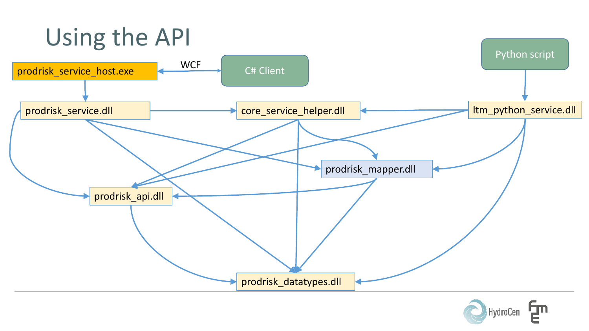

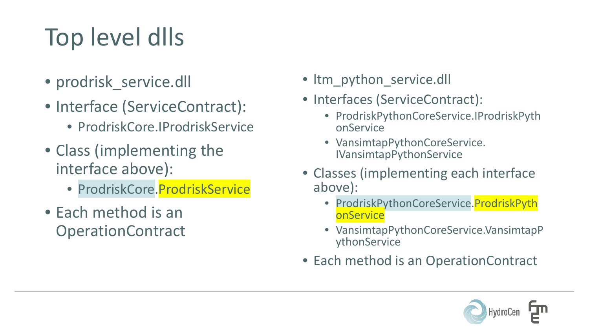## Top level dlls

- prodrisk service.dll
- Interface (ServiceContract):
	- ProdriskCore.IProdriskService
- Class (implementing the interface above):
	- ProdriskCore. ProdriskService
- Each method is an **OperationContract**
- Itm python service.dll
- Interfaces (ServiceContract):
	- ProdriskPythonCoreService.IProdriskPyth onService
	- VansimtapPythonCoreService. IVansimtapPythonService
- Classes (implementing each interface above):
	- ProdriskPythonCoreService.ProdriskPyth **onService**
	- VansimtapPythonCoreService.VansimtapP ythonService
- Each method is an OperationContract

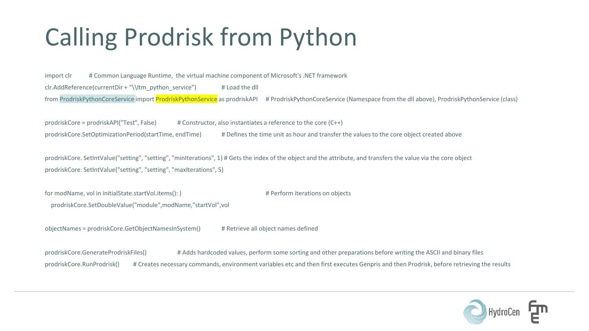## Calling Prodrisk from Python

import clr # Common Language Runtime, the virtual machine component of Microsoft's .NET framework clr.AddReference(currentDir + "\\ltm\_python\_service") # Load the dll from ProdriskPythonCoreService import ProdriskPythonService as prodriskAPI # ProdriskPythonCoreService (Namespace from the dll above), ProdriskPythonService (class)

prodriskCore = prodriskAPI("Test", False) # Constructor, also instantiates a reference to the core (C++) prodriskCore.SetOptimizationPeriod(startTime, endTime) # Defines the time unit as hour and transfer the values to the core object created above

prodriskCore. SetIntValue("setting", "setting", "minIterations", 1) # Gets the index of the object and the attribute, and transfers the value via the core object prodriskCore. SetIntValue("setting", "setting", "maxIterations", 5)

for modName, vol in initialState.startVol.items(): )  $\qquad \qquad \qquad$  # Perform iterations on objects prodriskCore.SetDoubleValue("module",modName,"startVol",vol

objectNames = prodriskCore.GetObjectNamesInSystem() # Retrieve all object names defined

prodriskCore.GenerateProdriskFiles() # Adds hardcoded values, perform some sorting and other preparations before writing the ASCII and binary files prodriskCore.RunProdrisk() # Creates necessary commands, environment variables etc and then first executes Genpris and then Prodrisk, before retrieving the results

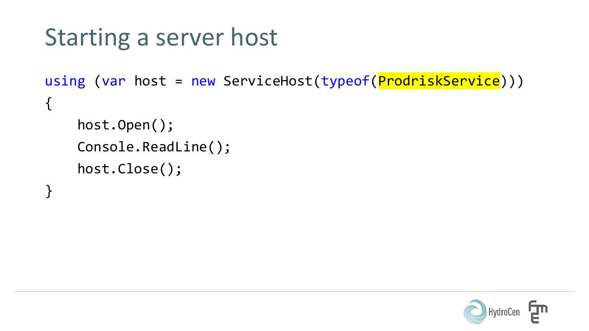```
Starting a server host
```

```
using (var host = new ServiceHost(typeof(ProdriskService)))
{
    host.Open();
    Console.ReadLine();
    host.Close();
}<br>}
```
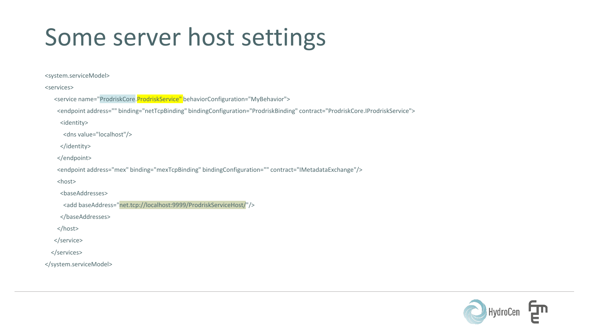## Some server host settings

<system.serviceModel>

```
<services>
  <service name="ProdriskCore.ProdriskService" behaviorConfiguration="MyBehavior">
    <endpoint address="" binding="netTcpBinding" bindingConfiguration="ProdriskBinding" contract="ProdriskCore.IProdriskService">
     <identity>
      <dns value="localhost"/>
    </identity>
    </endpoint>
    <endpoint address="mex" binding="mexTcpBinding" bindingConfiguration="" contract="IMetadataExchange"/>
    <host>
     <baseAddresses>
      <add baseAddress="net.tcp://localhost:9999/ProdriskServiceHost/"/>
     </baseAddresses>
    </host>
  </service>
  </services>
</system.serviceModel>
```